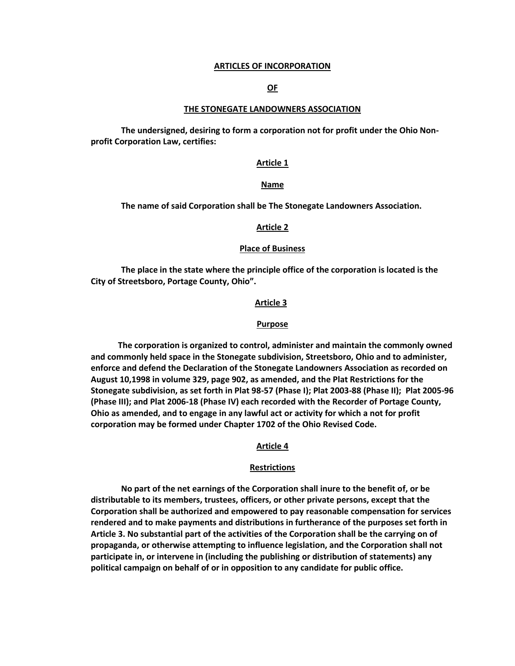#### **ARTICLES OF INCORPORATION**

## **OF**

#### **THE STONEGATE LANDOWNERS ASSOCIATION**

**The undersigned, desiring to form a corporation not for profit under the Ohio Nonprofit Corporation Law, certifies:**

#### **Article 1**

### **Name**

**The name of said Corporation shall be The Stonegate Landowners Association.**

#### **Article 2**

#### **Place of Business**

**The place in the state where the principle office of the corporation is located is the City of Streetsboro, Portage County, Ohio".**

#### **Article 3**

#### **Purpose**

 **The corporation is organized to control, administer and maintain the commonly owned and commonly held space in the Stonegate subdivision, Streetsboro, Ohio and to administer, enforce and defend the Declaration of the Stonegate Landowners Association as recorded on August 10,1998 in volume 329, page 902, as amended, and the Plat Restrictions for the Stonegate subdivision, as set forth in Plat 98-57 (Phase I); Plat 2003-88 (Phase II); Plat 2005-96 (Phase III); and Plat 2006-18 (Phase IV) each recorded with the Recorder of Portage County, Ohio as amended, and to engage in any lawful act or activity for which a not for profit corporation may be formed under Chapter 1702 of the Ohio Revised Code.**

### **Article 4**

#### **Restrictions**

**No part of the net earnings of the Corporation shall inure to the benefit of, or be distributable to its members, trustees, officers, or other private persons, except that the Corporation shall be authorized and empowered to pay reasonable compensation for services rendered and to make payments and distributions in furtherance of the purposes set forth in Article 3. No substantial part of the activities of the Corporation shall be the carrying on of propaganda, or otherwise attempting to influence legislation, and the Corporation shall not participate in, or intervene in (including the publishing or distribution of statements) any political campaign on behalf of or in opposition to any candidate for public office.**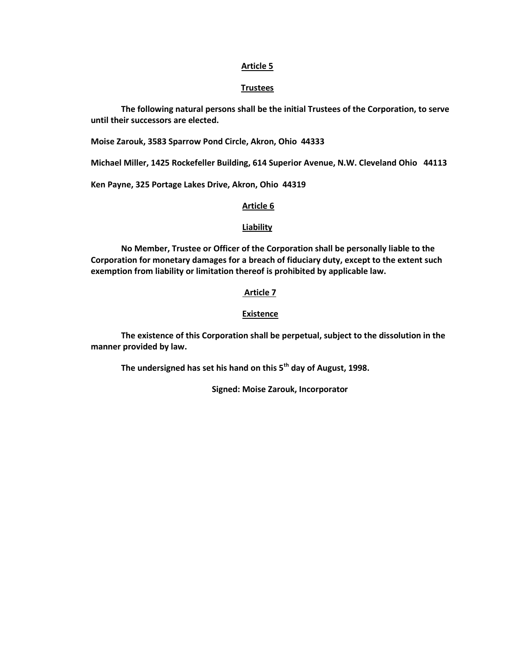## **Article 5**

# **Trustees**

**The following natural persons shall be the initial Trustees of the Corporation, to serve until their successors are elected.**

**Moise Zarouk, 3583 Sparrow Pond Circle, Akron, Ohio 44333**

**Michael Miller, 1425 Rockefeller Building, 614 Superior Avenue, N.W. Cleveland Ohio 44113**

**Ken Payne, 325 Portage Lakes Drive, Akron, Ohio 44319**

## **Article 6**

## **Liability**

**No Member, Trustee or Officer of the Corporation shall be personally liable to the Corporation for monetary damages for a breach of fiduciary duty, except to the extent such exemption from liability or limitation thereof is prohibited by applicable law.**

# **Article 7**

# **Existence**

**The existence of this Corporation shall be perpetual, subject to the dissolution in the manner provided by law.**

**The undersigned has set his hand on this 5th day of August, 1998.**

**Signed: Moise Zarouk, Incorporator**